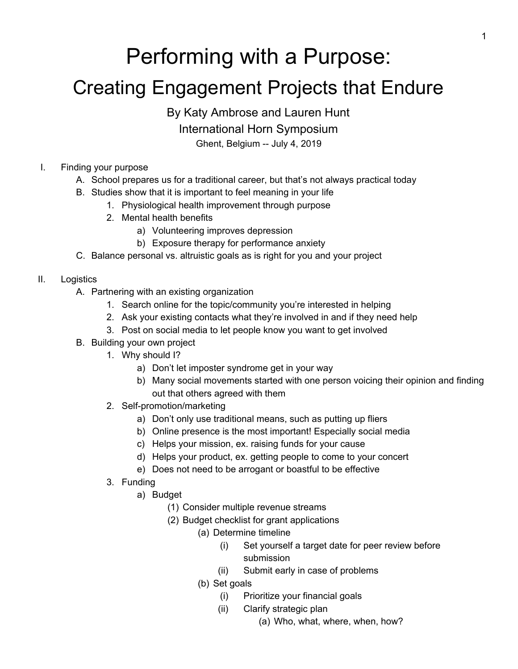# Performing with a Purpose:

## Creating Engagement Projects that Endure

By Katy Ambrose and Lauren Hunt

International Horn Symposium

Ghent, Belgium -- July 4, 2019

- I. Finding your purpose
	- A. School prepares us for a traditional career, but that's not always practical today
	- B. Studies show that it is important to feel meaning in your life
		- 1. Physiological health improvement through purpose
		- 2. Mental health benefits
			- a) Volunteering improves depression
			- b) Exposure therapy for performance anxiety
	- C. Balance personal vs. altruistic goals as is right for you and your project
- II. Logistics
	- A. Partnering with an existing organization
		- 1. Search online for the topic/community you're interested in helping
		- 2. Ask your existing contacts what they're involved in and if they need help
		- 3. Post on social media to let people know you want to get involved
	- B. Building your own project
		- 1. Why should I?
			- a) Don't let imposter syndrome get in your way
			- b) Many social movements started with one person voicing their opinion and finding out that others agreed with them
		- 2. Self-promotion/marketing
			- a) Don't only use traditional means, such as putting up fliers
			- b) Online presence is the most important! Especially social media
			- c) Helps your mission, ex. raising funds for your cause
			- d) Helps your product, ex. getting people to come to your concert
			- e) Does not need to be arrogant or boastful to be effective
		- 3. Funding
			- a) Budget
				- (1) Consider multiple revenue streams
				- (2) Budget checklist for grant applications
					- (a) Determine timeline
						- (i) Set yourself a target date for peer review before submission
						- (ii) Submit early in case of problems
					- (b) Set goals
						- (i) Prioritize your financial goals
						- (ii) Clarify strategic plan
							- (a) Who, what, where, when, how?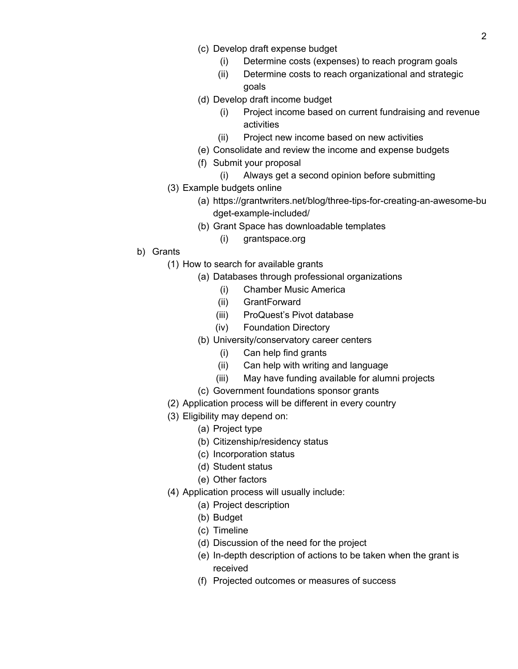- (c) Develop draft expense budget
	- (i) Determine costs (expenses) to reach program goals
	- (ii) Determine costs to reach organizational and strategic goals
- (d) Develop draft income budget
	- (i) Project income based on current fundraising and revenue activities
	- (ii) Project new income based on new activities
- (e) Consolidate and review the income and expense budgets
- (f) Submit your proposal
	- (i) Always get a second opinion before submitting
- (3) Example budgets online
	- (a) [https://grantwriters.net/blog/three-tips-for-creating-an-awesome-bu](https://grantwriters.net/blog/three-tips-for-creating-an-awesome-budget-example-included/) [dget-example-included/](https://grantwriters.net/blog/three-tips-for-creating-an-awesome-budget-example-included/)
	- (b) Grant Space has downloadable templates
		- (i) grantspace.org
- b) Grants
	- (1) How to search for available grants
		- (a) Databases through professional organizations
			- (i) Chamber Music America
			- (ii) GrantForward
			- (iii) ProQuest's Pivot database
			- (iv) Foundation Directory
			- (b) University/conservatory career centers
				- (i) Can help find grants
				- (ii) Can help with writing and language
				- (iii) May have funding available for alumni projects
			- (c) Government foundations sponsor grants
	- (2) Application process will be different in every country
	- (3) Eligibility may depend on:
		- (a) Project type
		- (b) Citizenship/residency status
		- (c) Incorporation status
		- (d) Student status
		- (e) Other factors
	- (4) Application process will usually include:
		- (a) Project description
		- (b) Budget
		- (c) Timeline
		- (d) Discussion of the need for the project
		- (e) In-depth description of actions to be taken when the grant is received
		- (f) Projected outcomes or measures of success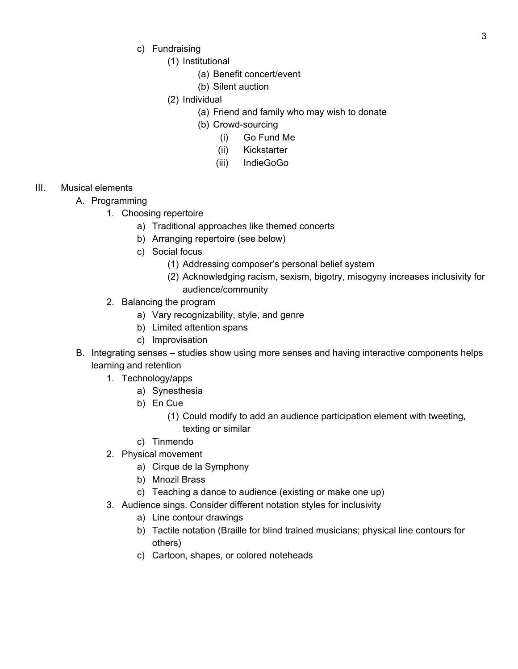- c) Fundraising
	- (1) Institutional
		- (a) Benefit concert/event
		- (b) Silent auction
	- (2) Individual
		- (a) Friend and family who may wish to donate
		- (b) Crowd-sourcing
			- (i) Go Fund Me
			- (ii) Kickstarter
			- (iii) IndieGoGo

### III. Musical elements

- A. Programming
	- 1. Choosing repertoire
		- a) Traditional approaches like themed concerts
		- b) Arranging repertoire (see below)
		- c) Social focus
			- (1) Addressing composer's personal belief system
			- (2) Acknowledging racism, sexism, bigotry, misogyny increases inclusivity for audience/community
	- 2. Balancing the program
		- a) Vary recognizability, style, and genre
		- b) Limited attention spans
		- c) Improvisation
- B. Integrating senses studies show using more senses and having interactive components helps learning and retention
	- 1. Technology/apps
		- a) Synesthesia
		- b) En Cue
			- (1) Could modify to add an audience participation element with tweeting, texting or similar
		- c) Tinmendo
	- 2. Physical movement
		- a) Cirque de la Symphony
		- b) Mnozil Brass
		- c) Teaching a dance to audience (existing or make one up)
	- 3. Audience sings. Consider different notation styles for inclusivity
		- a) Line contour drawings
		- b) Tactile notation (Braille for blind trained musicians; physical line contours for others)
		- c) Cartoon, shapes, or colored noteheads